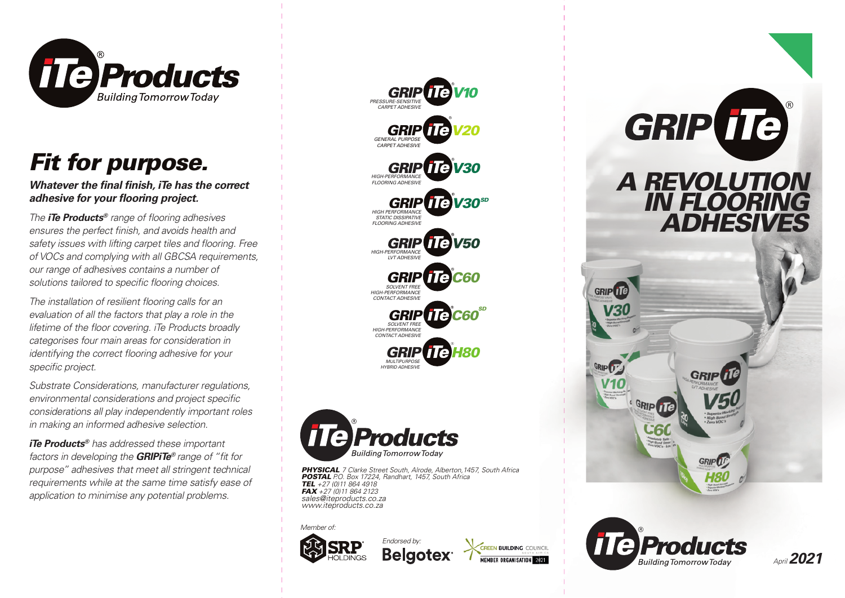

## *Fit for purpose.*

*Whatever the final finish, iTe has the correct* adhesive for your flooring project.

*The iTe Products®* range of flooring adhesives ensures the perfect finish, and avoids health and safety issues with lifting carpet tiles and flooring. Free *of VOCs and complying with all GBCSA requirements, our range of adhesives contains a number of*  solutions tailored to specific flooring choices.

*The installation of resilient flooring calls for an evaluation of all the factors that play a role in the lifetime of the floor covering. iTe Products broadly categorises four main areas for consideration in identifying the correct flooring adhesive for your* specific project.

*Substrate Considerations, manufacturer regulations,*  environmental considerations and project specific *considerations all play independently important roles in making an informed adhesive selection.*

*iTe Products® has addressed these important factors in developing the GRIPITe® range of "fit for purpose" adhesives that meet all stringent technical requirements while at the same time satisfy ease of application to minimise any potential problems.*





*PHYSICAL 7 Clarke Street South, Alrode, Alberton,1457, South Africa POSTAL P.O. Box 17224, Randhart, 1457, South Africa TEL +27 (0)11 864 4918 FAX +27 (0)11 864 2123 sales@iteproducts.co.za www.iteproducts.co.za*

**Belgotex** 

*Endorsed by:*

*Member of:*